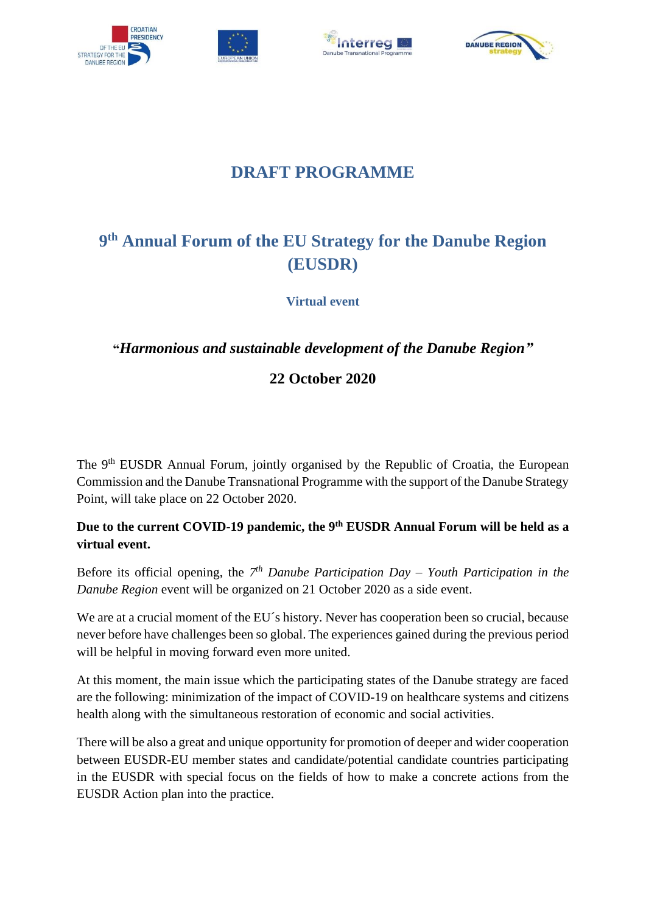







## **DRAFT PROGRAMME**

# **9 th Annual Forum of the EU Strategy for the Danube Region (EUSDR)**

**Virtual event**

### **"***Harmonious and sustainable development of the Danube Region"*

### **22 October 2020**

The 9<sup>th</sup> EUSDR Annual Forum, jointly organised by the Republic of Croatia, the European Commission and the Danube Transnational Programme with the support of the Danube Strategy Point, will take place on 22 October 2020.

### **Due to the current COVID-19 pandemic, the 9th EUSDR Annual Forum will be held as a virtual event.**

Before its official opening, the *7 th Danube Participation Day – Youth Participation in the Danube Region* event will be organized on 21 October 2020 as a side event.

We are at a crucial moment of the EU's history. Never has cooperation been so crucial, because never before have challenges been so global. The experiences gained during the previous period will be helpful in moving forward even more united.

At this moment, the main issue which the participating states of the Danube strategy are faced are the following: minimization of the impact of COVID-19 on healthcare systems and citizens health along with the simultaneous restoration of economic and social activities.

There will be also a great and unique opportunity for promotion of deeper and wider cooperation between EUSDR-EU member states and candidate/potential candidate countries participating in the EUSDR with special focus on the fields of how to make a concrete actions from the EUSDR Action plan into the practice.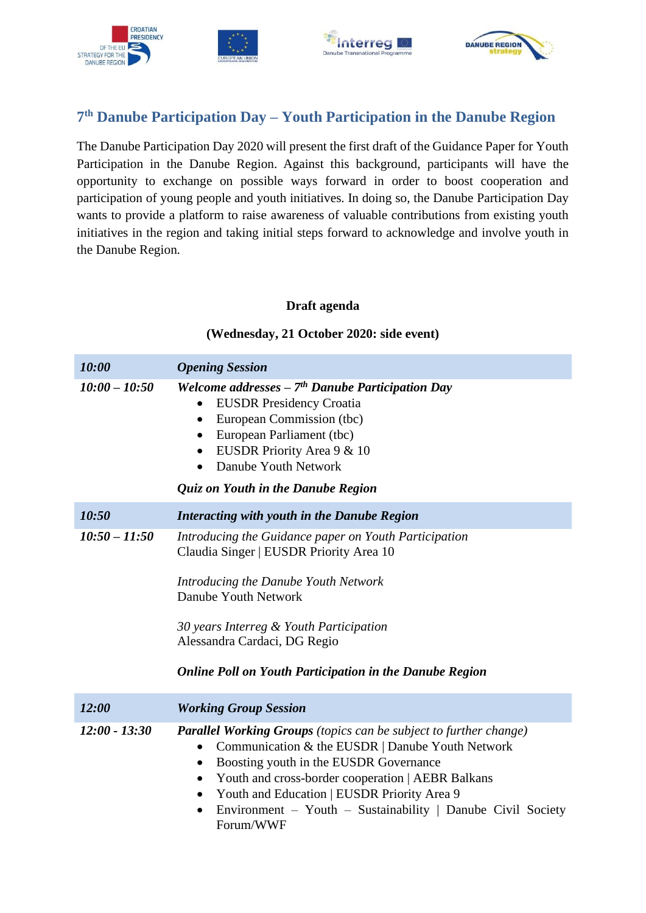

### **7 th Danube Participation Day – Youth Participation in the Danube Region**

The Danube Participation Day 2020 will present the first draft of the Guidance Paper for Youth Participation in the Danube Region. Against this background, participants will have the opportunity to exchange on possible ways forward in order to boost cooperation and participation of young people and youth initiatives. In doing so, the Danube Participation Day wants to provide a platform to raise awareness of valuable contributions from existing youth initiatives in the region and taking initial steps forward to acknowledge and involve youth in the Danube Region*.*

#### **Draft agenda**

**(Wednesday, 21 October 2020: side event)**

# *10:00 Opening Session 10:00 – 10:50 Welcome addresses – 7 th Danube Participation Day* • EUSDR Presidency Croatia • European Commission (tbc) • European Parliament (tbc) • EUSDR Priority Area 9 & 10 • Danube Youth Network *Quiz on Youth in the Danube Region 10:50 Interacting with youth in the Danube Region 10:50 – 11:50 Introducing the Guidance paper on Youth Participation* Claudia Singer | EUSDR Priority Area 10 *Introducing the Danube Youth Network* Danube Youth Network *30 years Interreg & Youth Participation* Alessandra Cardaci, DG Regio *Online Poll on Youth Participation in the Danube Region*

*12:00 Working Group Session 12:00 - 13:30 Parallel Working Groups (topics can be subject to further change)* • Communication & the EUSDR | Danube Youth Network • Boosting youth in the EUSDR Governance • Youth and cross-border cooperation | AEBR Balkans • Youth and Education | EUSDR Priority Area 9 • Environment – Youth – Sustainability | Danube Civil Society

Forum/WWF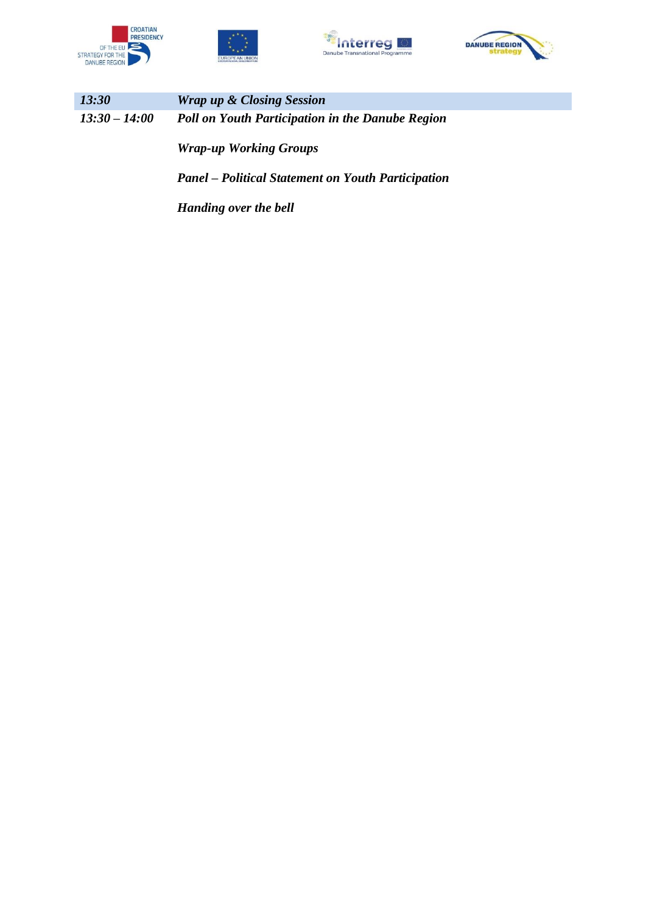







| <i>13:30</i>    | <b>Wrap up &amp; Closing Session</b>                    |
|-----------------|---------------------------------------------------------|
| $13:30 - 14:00$ | <b>Poll on Youth Participation in the Danube Region</b> |
|                 | <b>Wrap-up Working Groups</b>                           |

*Panel – Political Statement on Youth Participation*

*Handing over the bell*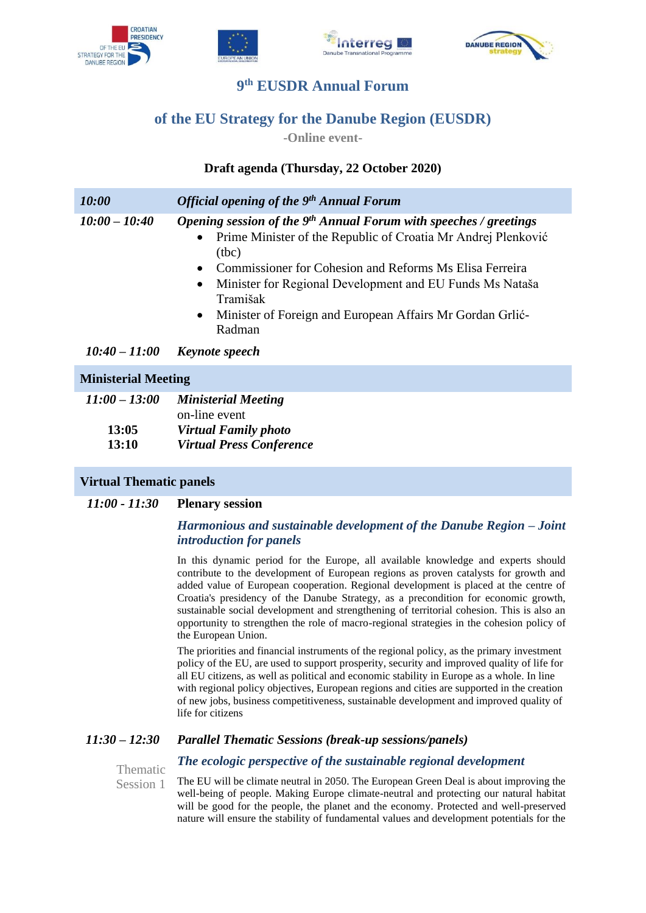







### **9 th EUSDR Annual Forum**

### **of the EU Strategy for the Danube Region (EUSDR)**

**-Online event-**

#### **Draft agenda (Thursday, 22 October 2020)**

| 10:00           | <b>Official opening of the 9th Annual Forum</b>                                                                                                                                                                                                                                                                                                                                                  |  |
|-----------------|--------------------------------------------------------------------------------------------------------------------------------------------------------------------------------------------------------------------------------------------------------------------------------------------------------------------------------------------------------------------------------------------------|--|
| $10:00 - 10:40$ | Opening session of the $9th$ Annual Forum with speeches / greetings<br>Prime Minister of the Republic of Croatia Mr Andrej Plenković<br>$\bullet$<br>(tbc)<br>• Commissioner for Cohesion and Reforms Ms Elisa Ferreira<br>Minister for Regional Development and EU Funds Ms Nataša<br>$\bullet$<br>Tramišak<br>Minister of Foreign and European Affairs Mr Gordan Grlić-<br>$\bullet$<br>Radman |  |
| $10:40 - 11:00$ | <b>Keynote</b> speech                                                                                                                                                                                                                                                                                                                                                                            |  |

#### **Ministerial Meeting**

| $11:00 - 13:00$ | <b>Ministerial Meeting</b>      |
|-----------------|---------------------------------|
|                 | on-line event                   |
| 13:05           | <b>Virtual Family photo</b>     |
| <b>13:10</b>    | <b>Virtual Press Conference</b> |

#### **Virtual Thematic panels**

#### *11:00 - 11:30* **Plenary session**

#### *Harmonious and sustainable development of the Danube Region – Joint introduction for panels*

In this dynamic period for the Europe, all available knowledge and experts should contribute to the development of European regions as proven catalysts for growth and added value of European cooperation. Regional development is placed at the centre of Croatia's presidency of the Danube Strategy, as a precondition for economic growth, sustainable social development and strengthening of territorial cohesion. This is also an opportunity to strengthen the role of macro-regional strategies in the cohesion policy of the European Union.

The priorities and financial instruments of the regional policy, as the primary investment policy of the EU, are used to support prosperity, security and improved quality of life for all EU citizens, as well as political and economic stability in Europe as a whole. In line with regional policy objectives, European regions and cities are supported in the creation of new jobs, business competitiveness, sustainable development and improved quality of life for citizens

#### *11:30 – 12:30 Parallel Thematic Sessions (break-up sessions/panels)*

Thematic Session 1

The EU will be climate neutral in 2050. The European Green Deal is about improving the well-being of people. Making Europe climate-neutral and protecting our natural habitat will be good for the people, the planet and the economy. Protected and well-preserved nature will ensure the stability of fundamental values and development potentials for the

*The ecologic perspective of the sustainable regional development*